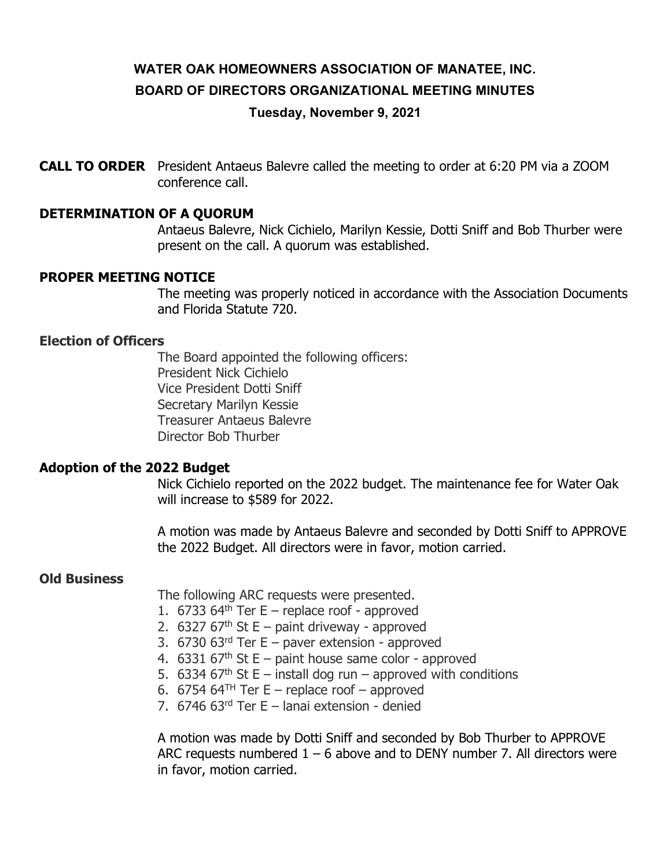# WATER OAK HOMEOWNERS ASSOCIATION OF MANATEE, INC. BOARD OF DIRECTORS ORGANIZATIONAL MEETING MINUTES

Tuesday, November 9, 2021

**CALL TO ORDER** President Antaeus Balevre called the meeting to order at 6:20 PM via a ZOOM conference call.

# DETERMINATION OF A QUORUM

Antaeus Balevre, Nick Cichielo, Marilyn Kessie, Dotti Sniff and Bob Thurber were present on the call. A quorum was established.

#### PROPER MEETING NOTICE

The meeting was properly noticed in accordance with the Association Documents and Florida Statute 720.

# Election of Officers

The Board appointed the following officers: President Nick Cichielo Vice President Dotti Sniff Secretary Marilyn Kessie Treasurer Antaeus Balevre Director Bob Thurber

# Adoption of the 2022 Budget

Nick Cichielo reported on the 2022 budget. The maintenance fee for Water Oak will increase to \$589 for 2022.

A motion was made by Antaeus Balevre and seconded by Dotti Sniff to APPROVE the 2022 Budget. All directors were in favor, motion carried.

#### Old Business

The following ARC requests were presented.

- 1. 6733 64<sup>th</sup> Ter E replace roof approved
- 2. 6327 67<sup>th</sup> St E paint driveway approved
- 3.  $6730$   $63$ <sup>rd</sup> Ter E paver extension approved
- 4. 6331 67<sup>th</sup> St E paint house same color approved
- 5. 6334 67<sup>th</sup> St E install dog run approved with conditions
- 6. 6754 64<sup>TH</sup> Ter E replace roof approved
- 7. 6746 63rd Ter E lanai extension denied

A motion was made by Dotti Sniff and seconded by Bob Thurber to APPROVE ARC requests numbered  $1 - 6$  above and to DENY number 7. All directors were in favor, motion carried.